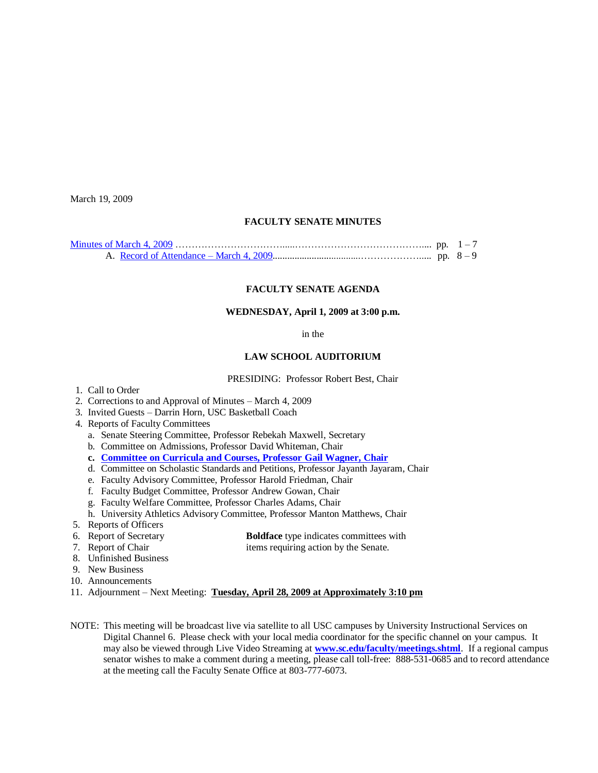March 19, 2009

### **FACULTY SENATE MINUTES**

### **FACULTY SENATE AGENDA**

#### **WEDNESDAY, April 1, 2009 at 3:00 p.m.**

#### in the

## **LAW SCHOOL AUDITORIUM**

#### PRESIDING: Professor Robert Best, Chair

- 1. Call to Order
- 2. Corrections to and Approval of Minutes March 4, 2009
- 3. Invited Guests Darrin Horn, USC Basketball Coach
- 4. Reports of Faculty Committees
	- a. Senate Steering Committee, Professor Rebekah Maxwell, Secretary
	- b. Committee on Admissions, Professor David Whiteman, Chair
	- **c. [Committee on Curricula and Courses, Professor Gail Wagner, Chair](http://www.sc.edu/faculty/senate/09/agenda/0401.cc.pdf)**
	- d. Committee on Scholastic Standards and Petitions, Professor Jayanth Jayaram, Chair
	- e. Faculty Advisory Committee, Professor Harold Friedman, Chair
	- f. Faculty Budget Committee, Professor Andrew Gowan, Chair
	- g. Faculty Welfare Committee, Professor Charles Adams, Chair
	- h. University Athletics Advisory Committee, Professor Manton Matthews, Chair
- 5. Reports of Officers
- 
- 6. Report of Secretary **Boldface** type indicates committees with<br>
7. Report of Chair<br> **Boldface** type indicates committees with<br>
items requiring action by the Senate. items requiring action by the Senate.
- 8. Unfinished Business
- 9. New Business
- 10. Announcements
- 11. Adjournment Next Meeting: **Tuesday, April 28, 2009 at Approximately 3:10 pm**
- NOTE: This meeting will be broadcast live via satellite to all USC campuses by University Instructional Services on Digital Channel 6. Please check with your local media coordinator for the specific channel on your campus. It may also be viewed through Live Video Streaming at **[www.sc.edu/faculty/meetings.shtml](http://www.sc.edu/faculty/meetings.shtml)**. If a regional campus senator wishes to make a comment during a meeting, please call toll-free: 888-531-0685 and to record attendance at the meeting call the Faculty Senate Office at 803-777-6073.